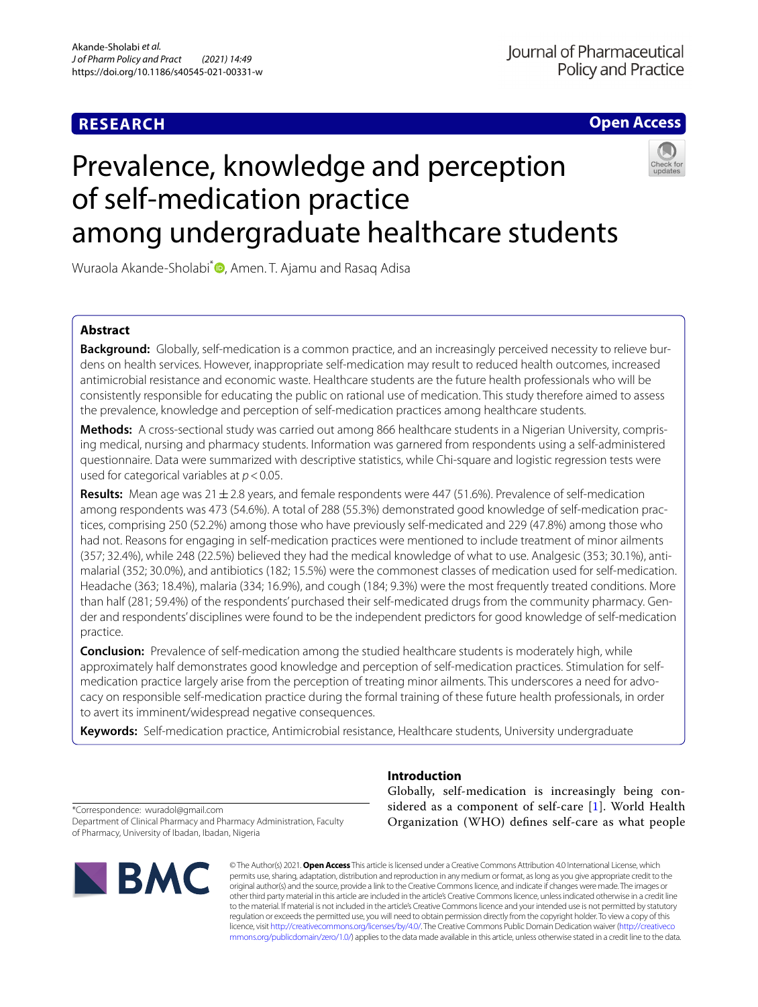# **RESEARCH**

**Open Access**

# Prevalence, knowledge and perception of self‑medication practice among undergraduate healthcare students



Wuraola Akande-Sholabi<sup>\*</sup> [,](http://orcid.org/0000-0003-0869-1726) Amen. T. Ajamu and Rasaq Adisa

## **Abstract**

**Background:** Globally, self-medication is a common practice, and an increasingly perceived necessity to relieve burdens on health services. However, inappropriate self-medication may result to reduced health outcomes, increased antimicrobial resistance and economic waste. Healthcare students are the future health professionals who will be consistently responsible for educating the public on rational use of medication. This study therefore aimed to assess the prevalence, knowledge and perception of self-medication practices among healthcare students.

**Methods:** A cross-sectional study was carried out among 866 healthcare students in a Nigerian University, compris‑ ing medical, nursing and pharmacy students. Information was garnered from respondents using a self-administered questionnaire. Data were summarized with descriptive statistics, while Chi-square and logistic regression tests were used for categorical variables at  $p < 0.05$ .

**Results:** Mean age was 21±2.8 years, and female respondents were 447 (51.6%). Prevalence of self-medication among respondents was 473 (54.6%). A total of 288 (55.3%) demonstrated good knowledge of self-medication prac‑ tices, comprising 250 (52.2%) among those who have previously self-medicated and 229 (47.8%) among those who had not. Reasons for engaging in self-medication practices were mentioned to include treatment of minor ailments (357; 32.4%), while 248 (22.5%) believed they had the medical knowledge of what to use. Analgesic (353; 30.1%), anti‑ malarial (352; 30.0%), and antibiotics (182; 15.5%) were the commonest classes of medication used for self-medication. Headache (363; 18.4%), malaria (334; 16.9%), and cough (184; 9.3%) were the most frequently treated conditions. More than half (281; 59.4%) of the respondents' purchased their self-medicated drugs from the community pharmacy. Gender and respondents' disciplines were found to be the independent predictors for good knowledge of self-medication practice.

**Conclusion:** Prevalence of self-medication among the studied healthcare students is moderately high, while approximately half demonstrates good knowledge and perception of self-medication practices. Stimulation for selfmedication practice largely arise from the perception of treating minor ailments. This underscores a need for advocacy on responsible self-medication practice during the formal training of these future health professionals, in order to avert its imminent/widespread negative consequences.

**Keywords:** Self-medication practice, Antimicrobial resistance, Healthcare students, University undergraduate

\*Correspondence: wuradol@gmail.com Department of Clinical Pharmacy and Pharmacy Administration, Faculty

of Pharmacy, University of Ibadan, Ibadan, Nigeria



## **Introduction**

Globally, self-medication is increasingly being considered as a component of self-care [[1\]](#page-10-0). World Health Organization (WHO) defnes self-care as what people

© The Author(s) 2021. **Open Access** This article is licensed under a Creative Commons Attribution 4.0 International License, which permits use, sharing, adaptation, distribution and reproduction in any medium or format, as long as you give appropriate credit to the original author(s) and the source, provide a link to the Creative Commons licence, and indicate if changes were made. The images or other third party material in this article are included in the article's Creative Commons licence, unless indicated otherwise in a credit line to the material. If material is not included in the article's Creative Commons licence and your intended use is not permitted by statutory regulation or exceeds the permitted use, you will need to obtain permission directly from the copyright holder. To view a copy of this licence, visit [http://creativecommons.org/licenses/by/4.0/.](http://creativecommons.org/licenses/by/4.0/) The Creative Commons Public Domain Dedication waiver ([http://creativeco](http://creativecommons.org/publicdomain/zero/1.0/) [mmons.org/publicdomain/zero/1.0/](http://creativecommons.org/publicdomain/zero/1.0/)) applies to the data made available in this article, unless otherwise stated in a credit line to the data.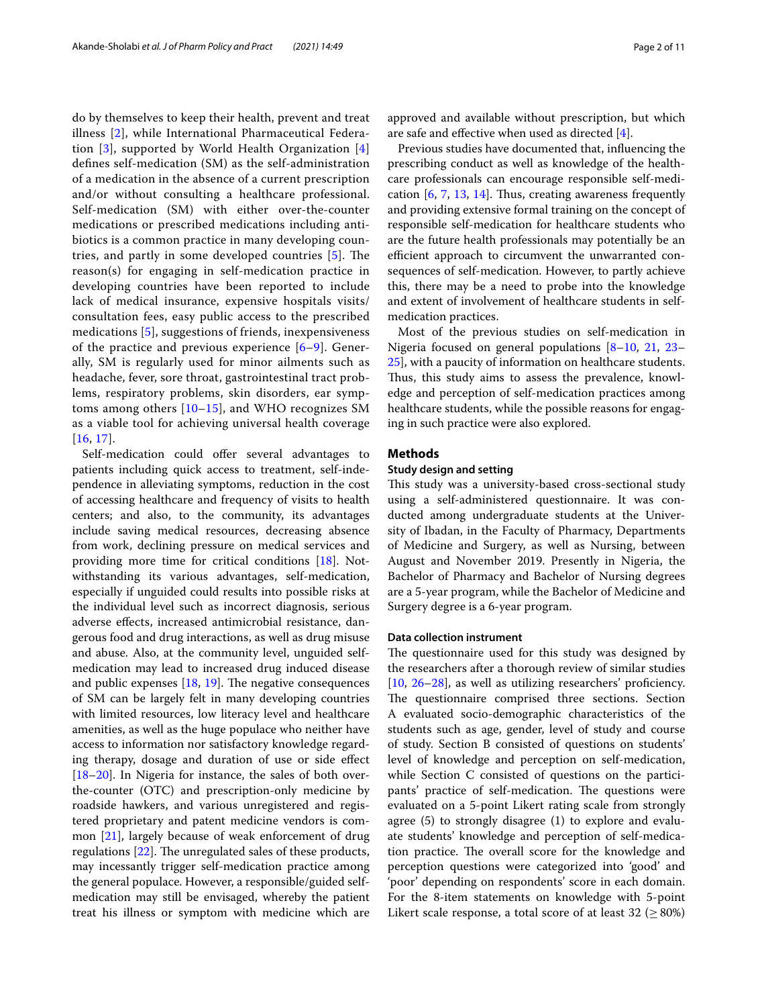do by themselves to keep their health, prevent and treat illness [[2](#page-10-1)], while International Pharmaceutical Federation [[3](#page-10-2)], supported by World Health Organization [\[4](#page-10-3)] defnes self-medication (SM) as the self-administration of a medication in the absence of a current prescription and/or without consulting a healthcare professional. Self-medication (SM) with either over-the-counter medications or prescribed medications including antibiotics is a common practice in many developing coun-tries, and partly in some developed countries [[5\]](#page-10-4). The reason(s) for engaging in self-medication practice in developing countries have been reported to include lack of medical insurance, expensive hospitals visits/ consultation fees, easy public access to the prescribed medications [[5\]](#page-10-4), suggestions of friends, inexpensiveness of the practice and previous experience [\[6](#page-10-5)[–9\]](#page-10-6). Generally, SM is regularly used for minor ailments such as headache, fever, sore throat, gastrointestinal tract problems, respiratory problems, skin disorders, ear symptoms among others [[10–](#page-10-7)[15\]](#page-10-8), and WHO recognizes SM as a viable tool for achieving universal health coverage [[16](#page-10-9), [17](#page-10-10)].

Self-medication could offer several advantages to patients including quick access to treatment, self-independence in alleviating symptoms, reduction in the cost of accessing healthcare and frequency of visits to health centers; and also, to the community, its advantages include saving medical resources, decreasing absence from work, declining pressure on medical services and providing more time for critical conditions [\[18](#page-10-11)]. Notwithstanding its various advantages, self-medication, especially if unguided could results into possible risks at the individual level such as incorrect diagnosis, serious adverse efects, increased antimicrobial resistance, dangerous food and drug interactions, as well as drug misuse and abuse. Also, at the community level, unguided selfmedication may lead to increased drug induced disease and public expenses  $[18, 19]$  $[18, 19]$  $[18, 19]$  $[18, 19]$ . The negative consequences of SM can be largely felt in many developing countries with limited resources, low literacy level and healthcare amenities, as well as the huge populace who neither have access to information nor satisfactory knowledge regarding therapy, dosage and duration of use or side efect [[18–](#page-10-11)[20](#page-10-13)]. In Nigeria for instance, the sales of both overthe-counter (OTC) and prescription-only medicine by roadside hawkers, and various unregistered and registered proprietary and patent medicine vendors is common [\[21](#page-10-14)], largely because of weak enforcement of drug regulations  $[22]$ . The unregulated sales of these products, may incessantly trigger self-medication practice among the general populace. However, a responsible/guided selfmedication may still be envisaged, whereby the patient treat his illness or symptom with medicine which are approved and available without prescription, but which are safe and efective when used as directed [\[4](#page-10-3)].

Previous studies have documented that, infuencing the prescribing conduct as well as knowledge of the healthcare professionals can encourage responsible self-medication  $[6, 7, 13, 14]$  $[6, 7, 13, 14]$  $[6, 7, 13, 14]$  $[6, 7, 13, 14]$  $[6, 7, 13, 14]$  $[6, 7, 13, 14]$  $[6, 7, 13, 14]$ . Thus, creating awareness frequently and providing extensive formal training on the concept of responsible self-medication for healthcare students who are the future health professionals may potentially be an efficient approach to circumvent the unwarranted consequences of self-medication. However, to partly achieve this, there may be a need to probe into the knowledge and extent of involvement of healthcare students in selfmedication practices.

Most of the previous studies on self-medication in Nigeria focused on general populations [[8](#page-10-19)[–10](#page-10-7), [21](#page-10-14), [23–](#page-10-20) [25\]](#page-10-21), with a paucity of information on healthcare students. Thus, this study aims to assess the prevalence, knowledge and perception of self-medication practices among healthcare students, while the possible reasons for engaging in such practice were also explored.

## **Methods**

## **Study design and setting**

This study was a university-based cross-sectional study using a self-administered questionnaire. It was conducted among undergraduate students at the University of Ibadan, in the Faculty of Pharmacy, Departments of Medicine and Surgery, as well as Nursing, between August and November 2019. Presently in Nigeria, the Bachelor of Pharmacy and Bachelor of Nursing degrees are a 5-year program, while the Bachelor of Medicine and Surgery degree is a 6-year program.

## **Data collection instrument**

The questionnaire used for this study was designed by the researchers after a thorough review of similar studies [[10,](#page-10-7) [26](#page-10-22)[–28](#page-10-23)], as well as utilizing researchers' proficiency. The questionnaire comprised three sections. Section A evaluated socio-demographic characteristics of the students such as age, gender, level of study and course of study. Section B consisted of questions on students' level of knowledge and perception on self-medication, while Section C consisted of questions on the participants' practice of self-medication. The questions were evaluated on a 5-point Likert rating scale from strongly agree (5) to strongly disagree (1) to explore and evaluate students' knowledge and perception of self-medication practice. The overall score for the knowledge and perception questions were categorized into 'good' and 'poor' depending on respondents' score in each domain. For the 8-item statements on knowledge with 5-point Likert scale response, a total score of at least  $32 \geq 80\%$ )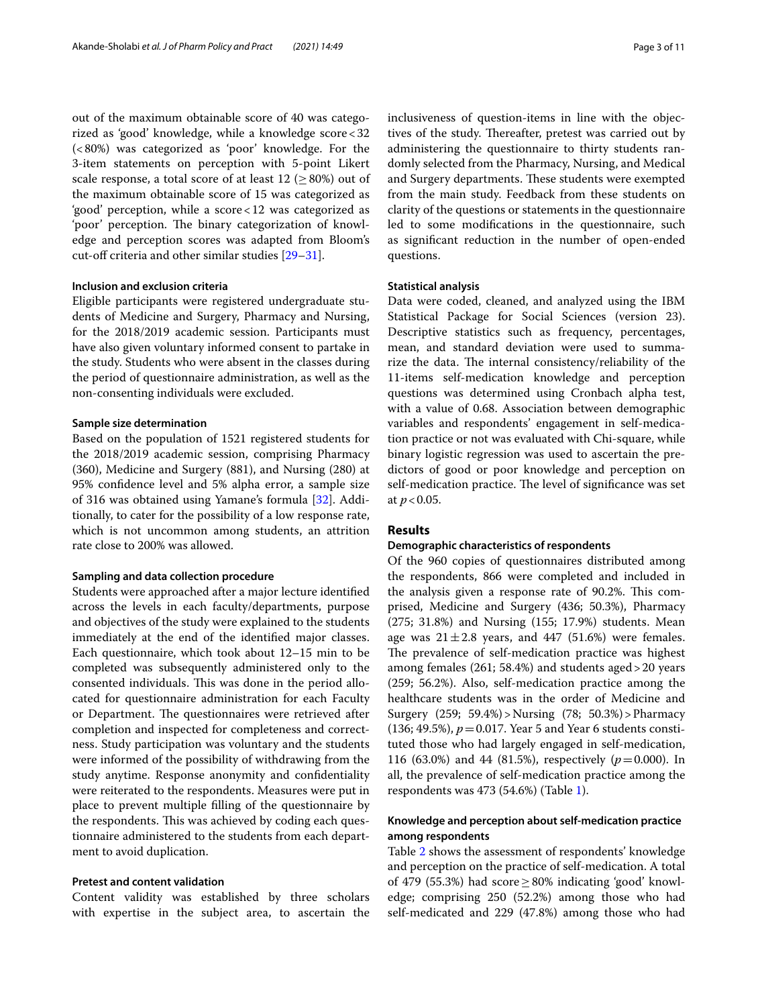out of the maximum obtainable score of 40 was categorized as 'good' knowledge, while a knowledge score<32 (<80%) was categorized as 'poor' knowledge. For the 3-item statements on perception with 5-point Likert scale response, a total score of at least  $12$  ( $\geq$  80%) out of the maximum obtainable score of 15 was categorized as 'good' perception, while a score<12 was categorized as 'poor' perception. The binary categorization of knowledge and perception scores was adapted from Bloom's cut-off criteria and other similar studies [\[29](#page-10-24)[–31\]](#page-10-25).

## **Inclusion and exclusion criteria**

Eligible participants were registered undergraduate students of Medicine and Surgery, Pharmacy and Nursing, for the 2018/2019 academic session. Participants must have also given voluntary informed consent to partake in the study. Students who were absent in the classes during the period of questionnaire administration, as well as the non-consenting individuals were excluded.

## **Sample size determination**

Based on the population of 1521 registered students for the 2018/2019 academic session, comprising Pharmacy (360), Medicine and Surgery (881), and Nursing (280) at 95% confdence level and 5% alpha error, a sample size of 316 was obtained using Yamane's formula [\[32](#page-10-26)]. Additionally, to cater for the possibility of a low response rate, which is not uncommon among students, an attrition rate close to 200% was allowed.

## **Sampling and data collection procedure**

Students were approached after a major lecture identifed across the levels in each faculty/departments, purpose and objectives of the study were explained to the students immediately at the end of the identifed major classes. Each questionnaire, which took about 12–15 min to be completed was subsequently administered only to the consented individuals. This was done in the period allocated for questionnaire administration for each Faculty or Department. The questionnaires were retrieved after completion and inspected for completeness and correctness. Study participation was voluntary and the students were informed of the possibility of withdrawing from the study anytime. Response anonymity and confdentiality were reiterated to the respondents. Measures were put in place to prevent multiple flling of the questionnaire by the respondents. This was achieved by coding each questionnaire administered to the students from each department to avoid duplication.

## **Pretest and content validation**

Content validity was established by three scholars with expertise in the subject area, to ascertain the inclusiveness of question-items in line with the objectives of the study. Thereafter, pretest was carried out by administering the questionnaire to thirty students randomly selected from the Pharmacy, Nursing, and Medical and Surgery departments. These students were exempted from the main study. Feedback from these students on clarity of the questions or statements in the questionnaire led to some modifcations in the questionnaire, such as signifcant reduction in the number of open-ended questions.

## **Statistical analysis**

Data were coded, cleaned, and analyzed using the IBM Statistical Package for Social Sciences (version 23). Descriptive statistics such as frequency, percentages, mean, and standard deviation were used to summarize the data. The internal consistency/reliability of the 11-items self-medication knowledge and perception questions was determined using Cronbach alpha test, with a value of 0.68. Association between demographic variables and respondents' engagement in self-medication practice or not was evaluated with Chi-square, while binary logistic regression was used to ascertain the predictors of good or poor knowledge and perception on self-medication practice. The level of significance was set at *p*<0.05.

## **Results**

## **Demographic characteristics of respondents**

Of the 960 copies of questionnaires distributed among the respondents, 866 were completed and included in the analysis given a response rate of 90.2%. This comprised, Medicine and Surgery (436; 50.3%), Pharmacy (275; 31.8%) and Nursing (155; 17.9%) students. Mean age was  $21 \pm 2.8$  years, and 447 (51.6%) were females. The prevalence of self-medication practice was highest among females (261; 58.4%) and students aged>20 years (259; 56.2%). Also, self-medication practice among the healthcare students was in the order of Medicine and Surgery (259; 59.4%)>Nursing (78; 50.3%)>Pharmacy (136; 49.5%),  $p = 0.017$ . Year 5 and Year 6 students constituted those who had largely engaged in self-medication, 116 (63.0%) and 44 (81.5%), respectively ( $p = 0.000$ ). In all, the prevalence of self-medication practice among the respondents was 473 (54.6%) (Table [1](#page-3-0)).

## **Knowledge and perception about self‑medication practice among respondents**

Table [2](#page-4-0) shows the assessment of respondents' knowledge and perception on the practice of self-medication. A total of 479 (55.3%) had score  $\geq$  80% indicating 'good' knowledge; comprising 250 (52.2%) among those who had self-medicated and 229 (47.8%) among those who had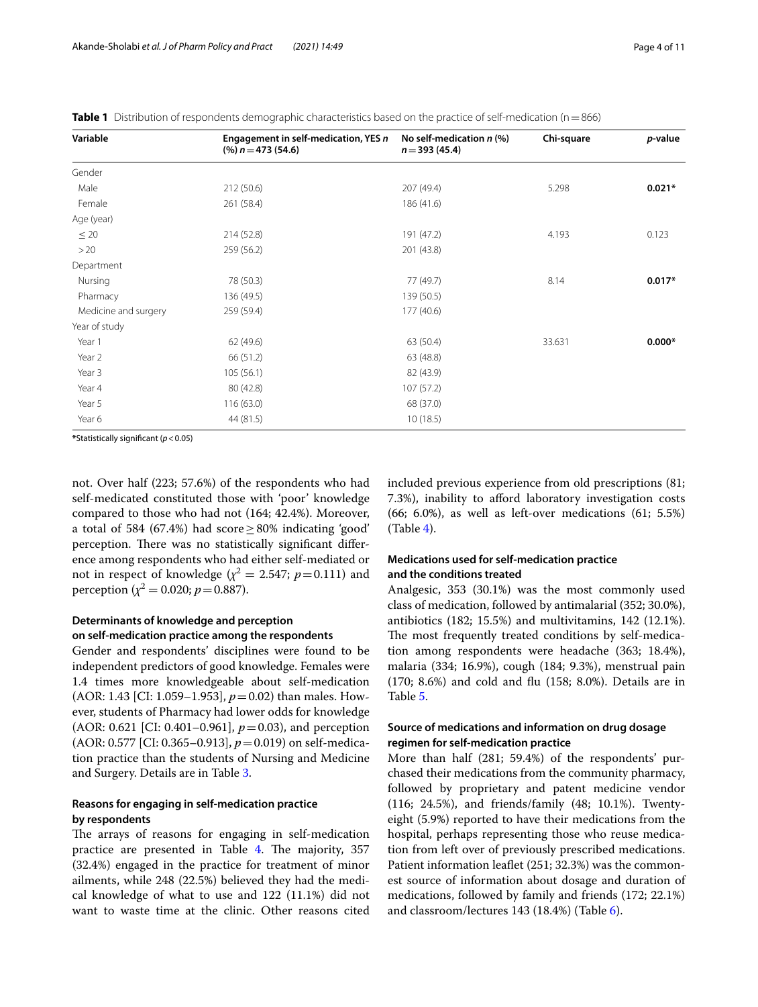<span id="page-3-0"></span>

|  |  |  |  |  |  |  | Table 1 Distribution of respondents demographic characteristics based on the practice of self-medication (n = 866) |  |
|--|--|--|--|--|--|--|--------------------------------------------------------------------------------------------------------------------|--|
|--|--|--|--|--|--|--|--------------------------------------------------------------------------------------------------------------------|--|

| Variable             | Engagement in self-medication, YES n<br>$(\%)$ n = 473 (54.6) | No self-medication $n$ (%)<br>$n = 393(45.4)$ | Chi-square | p-value  |
|----------------------|---------------------------------------------------------------|-----------------------------------------------|------------|----------|
| Gender               |                                                               |                                               |            |          |
| Male                 | 212 (50.6)                                                    | 207 (49.4)                                    | 5.298      | $0.021*$ |
| Female               | 261 (58.4)                                                    | 186 (41.6)                                    |            |          |
| Age (year)           |                                                               |                                               |            |          |
| $\leq 20$            | 214 (52.8)                                                    | 191 (47.2)                                    | 4.193      | 0.123    |
| >20                  | 259 (56.2)                                                    | 201 (43.8)                                    |            |          |
| Department           |                                                               |                                               |            |          |
| Nursing              | 78 (50.3)                                                     | 77 (49.7)                                     | 8.14       | $0.017*$ |
| Pharmacy             | 136 (49.5)                                                    | 139 (50.5)                                    |            |          |
| Medicine and surgery | 259 (59.4)                                                    | 177 (40.6)                                    |            |          |
| Year of study        |                                                               |                                               |            |          |
| Year 1               | 62 (49.6)                                                     | 63 (50.4)                                     | 33.631     | $0.000*$ |
| Year 2               | 66 (51.2)                                                     | 63 (48.8)                                     |            |          |
| Year 3               | 105(56.1)                                                     | 82 (43.9)                                     |            |          |
| Year 4               | 80 (42.8)                                                     | 107(57.2)                                     |            |          |
| Year 5               | 116 (63.0)                                                    | 68 (37.0)                                     |            |          |
| Year 6               | 44 (81.5)                                                     | 10(18.5)                                      |            |          |

**\***Statistically signifcant (*p*<0.05)

not. Over half (223; 57.6%) of the respondents who had self-medicated constituted those with 'poor' knowledge compared to those who had not (164; 42.4%). Moreover, a total of 584 (67.4%) had score  $\geq$  80% indicating 'good' perception. There was no statistically significant difference among respondents who had either self-mediated or not in respect of knowledge  $(\chi^2 = 2.547; p = 0.111)$  and perception ( $\chi^2$  = 0.020; *p* = 0.887).

## **Determinants of knowledge and perception on self‑medication practice among the respondents**

Gender and respondents' disciplines were found to be independent predictors of good knowledge. Females were 1.4 times more knowledgeable about self-medication (AOR: 1.43 [CI: 1.059–1.953], *p*=0.02) than males. However, students of Pharmacy had lower odds for knowledge (AOR: 0.621 [CI: 0.401–0.961], *p*=0.03), and perception (AOR: 0.577 [CI: 0.365–0.913], *p*=0.019) on self-medication practice than the students of Nursing and Medicine and Surgery. Details are in Table [3.](#page-6-0)

## **Reasons for engaging in self‑medication practice by respondents**

The arrays of reasons for engaging in self-medication practice are presented in Table [4](#page-7-0). The majority, 357 (32.4%) engaged in the practice for treatment of minor ailments, while 248 (22.5%) believed they had the medical knowledge of what to use and 122 (11.1%) did not want to waste time at the clinic. Other reasons cited included previous experience from old prescriptions (81; 7.3%), inability to afford laboratory investigation costs (66; 6.0%), as well as left-over medications (61; 5.5%) (Table [4\)](#page-7-0).

## **Medications used for self‑medication practice and the conditions treated**

Analgesic, 353 (30.1%) was the most commonly used class of medication, followed by antimalarial (352; 30.0%), antibiotics (182; 15.5%) and multivitamins, 142 (12.1%). The most frequently treated conditions by self-medication among respondents were headache (363; 18.4%), malaria (334; 16.9%), cough (184; 9.3%), menstrual pain (170; 8.6%) and cold and fu (158; 8.0%). Details are in Table [5](#page-7-1).

## **Source of medications and information on drug dosage regimen for self‑medication practice**

More than half (281; 59.4%) of the respondents' purchased their medications from the community pharmacy, followed by proprietary and patent medicine vendor (116; 24.5%), and friends/family (48; 10.1%). Twentyeight (5.9%) reported to have their medications from the hospital, perhaps representing those who reuse medication from left over of previously prescribed medications. Patient information leafet (251; 32.3%) was the commonest source of information about dosage and duration of medications, followed by family and friends (172; 22.1%) and classroom/lectures 143 (18.4%) (Table [6](#page-8-0)).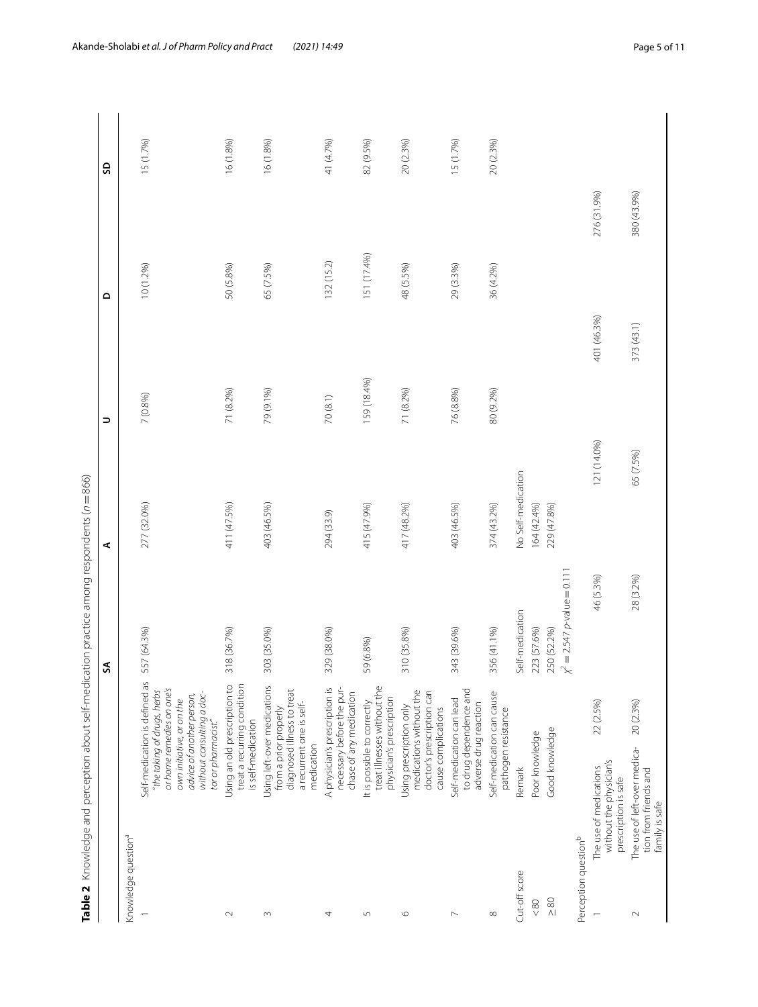<span id="page-4-0"></span>

| $= 866$                                               |
|-------------------------------------------------------|
| $-100 + 100$                                          |
| <b>アクローク いちかん かんこう かんこうしょう うんこう</b><br>$\overline{a}$ |
| <br> <br> <br> <br> <br>                              |
| $-20.4$ 20.23<br>こうり                                  |
| $-10 + 10 = 0$<br>$\frac{1}{2}$<br>֚֚֚                |
| ١                                                     |
| $\frac{1}{2}$<br> <br> <br> <br> <br> <br>Table 7     |

|                                               |                                                                                                |                                                                                                                        | SA                               | ⋖                  | ∍           | ۵           |             | SD        |
|-----------------------------------------------|------------------------------------------------------------------------------------------------|------------------------------------------------------------------------------------------------------------------------|----------------------------------|--------------------|-------------|-------------|-------------|-----------|
| Knowledge question <sup>a</sup>               |                                                                                                |                                                                                                                        |                                  |                    |             |             |             |           |
|                                               | advice of another person,<br>own initiative, or on the<br>tor or pharmacist."                  | Self-medication is defined as<br>or home remedies on one's<br>"the taking of drugs, herbs<br>without consulting a doc- | 557 (64.3%)                      | 277 (32.0%)        | 7 (0.8%)    |             | 10 (1.2%)   | 15 (1.7%) |
| $\sim$                                        | Using an old prescription to<br>is self-medication                                             | treat a recurring condition                                                                                            | 318 (36.7%)                      | 411 (47.5%)        | 71 (8.2%)   |             | 50 (5.8%)   | 16 (1.8%) |
| $\sim$                                        | Using left-over medications<br>a recurrent one is self-<br>from a prior properly<br>medication | diagnosed illness to treat                                                                                             | 303 (35.0%)                      | 403 (46.5%)        | 79 (9.1%)   |             | 65 (7.5%)   | 16 (1.8%) |
| 4                                             | A physician's prescription is                                                                  | necessary before the pur-<br>chase of any medication                                                                   | 329 (38.0%)                      | 294 (33.9)         | 70 (8.1)    |             | 132 (15.2)  | 41 (4.7%) |
| $\sqrt{2}$                                    | physician's prescription<br>It is possible to correctly                                        | treat illnesses without the                                                                                            | 59 (6.8%)                        | 415 (47.9%)        | 159 (18.4%) |             | 151 (17.4%) | 82 (9.5%) |
| $\circ$                                       | Using prescription only<br>cause complications                                                 | medications without the<br>doctor's prescription can                                                                   | 310 (35.8%)                      | 417 (48.2%)        | 71 (8.2%)   |             | 48 (5.5%)   | 20 (2.3%) |
| $\mathord{\hspace{1pt}\text{--}\hspace{1pt}}$ | Self-medication can lead<br>adverse drug reaction                                              | to drug dependence and                                                                                                 | 343 (39.6%)                      | 403 (46.5%)        | 76 (8.8%)   |             | 29 (3.3%)   | 15 (1.7%) |
| $\infty$                                      | Self-medication can cause<br>pathogen resistance                                               |                                                                                                                        | 356 (41.1%)                      | 374 (43.2%)        | 80 (9.2%)   |             | 36 (4.2%)   | 20 (2.3%) |
| Cut-off score                                 | Remark                                                                                         |                                                                                                                        | Self-medication                  | No Self-medication |             |             |             |           |
| $\!<\!80$                                     | Poor knowledge                                                                                 |                                                                                                                        | 223 (57.6%)                      | 164 (42.4%)        |             |             |             |           |
| $\frac{80}{1}$                                | Good knowledge                                                                                 |                                                                                                                        | 250 (52.2%)                      | 229 (47.8%)        |             |             |             |           |
| Perception question <sup>b</sup>              |                                                                                                |                                                                                                                        | $\chi^2 = 2.547$ p-value = 0.111 |                    |             |             |             |           |
|                                               | without the physician's<br>The use of medications<br>prescription is safe                      | 22 (2.5%)                                                                                                              | 46 (5.3%)                        |                    | 121 (14.0%) | 401 (46.3%) | 276 (31.9%) |           |
| $\scriptstyle\sim$                            | The use of left-over medica-<br>tion from friends and<br>family is safe                        | 20 (2.3%)                                                                                                              | 28 (3.2%)                        |                    | 65 (7.5%)   | 373(43.1)   | 380 (43.9%) |           |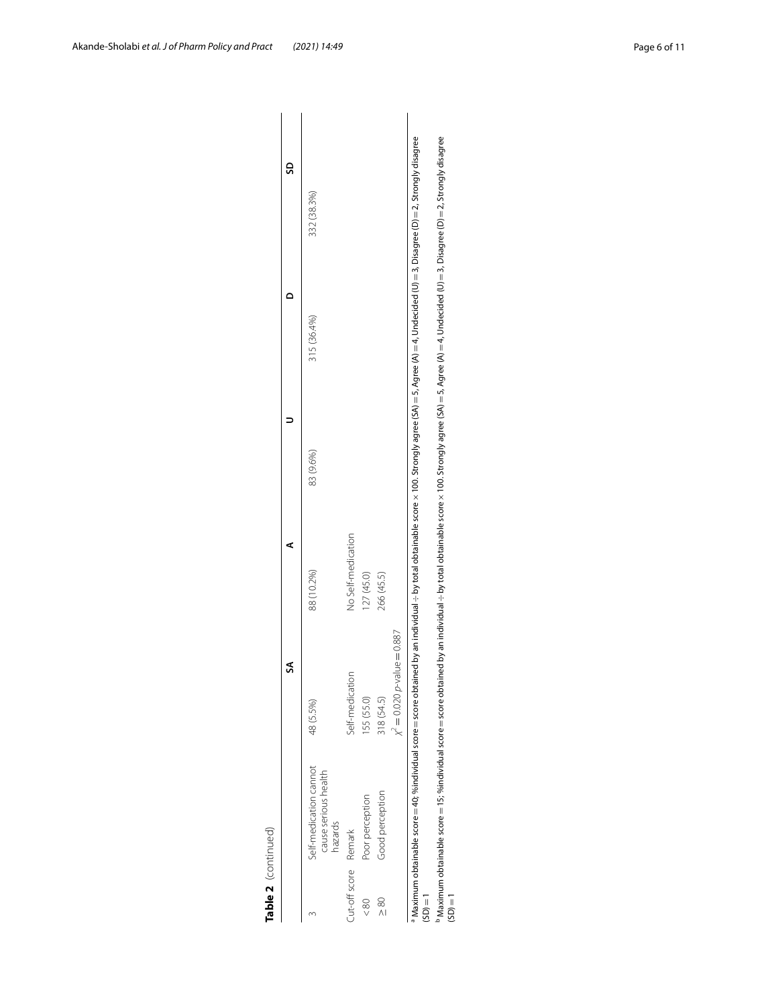| Table 2 (continued)  |                                                                   |                                                                                                                                                                                                                                      |                    |           |             |                                                                                                                                                    |
|----------------------|-------------------------------------------------------------------|--------------------------------------------------------------------------------------------------------------------------------------------------------------------------------------------------------------------------------------|--------------------|-----------|-------------|----------------------------------------------------------------------------------------------------------------------------------------------------|
|                      |                                                                   | Z                                                                                                                                                                                                                                    |                    |           |             | ဌ                                                                                                                                                  |
|                      | Self-medication cannot<br>cause serious health<br>hazards         | 48 (5.5%)                                                                                                                                                                                                                            | 88 (10.2%)         | 83 (9.6%) | 315 (36.4%) | 332 (38.3%)                                                                                                                                        |
| Cut-off score Remark |                                                                   | Self-medication                                                                                                                                                                                                                      | No Self-medication |           |             |                                                                                                                                                    |
| $\frac{80}{5}$       | Poor perception                                                   | 155 (55.0)                                                                                                                                                                                                                           | 127(45.0)          |           |             |                                                                                                                                                    |
| $\frac{80}{1}$       | Good perception                                                   | 318 (54.5)                                                                                                                                                                                                                           | 266 (45.5)         |           |             |                                                                                                                                                    |
|                      |                                                                   | $x^2 = 0.020$ p-value = 0.887                                                                                                                                                                                                        |                    |           |             |                                                                                                                                                    |
| $(SD) = 1$           | a Maximum obtainable score = 40; %individual score = score obtain |                                                                                                                                                                                                                                      |                    |           |             | ned by an indual → by total obtainable score × 100. Strongly agree (SA) = 5, Agree (A) = 4, Undecided (U) = 3, Disagree (D) = 2, Strongly disagree |
| $(5D) = 1$           |                                                                   | $^{\rm b}$ Maximum obtainable score = 15; %individual score score obtained by an individual ÷ by total obtainable score $\times$ 100. Strongly agree (SA) = 5, Agree (A) = 4, Undecided (U) = 3, Disagree (D) = 2, Strongly disagree |                    |           |             |                                                                                                                                                    |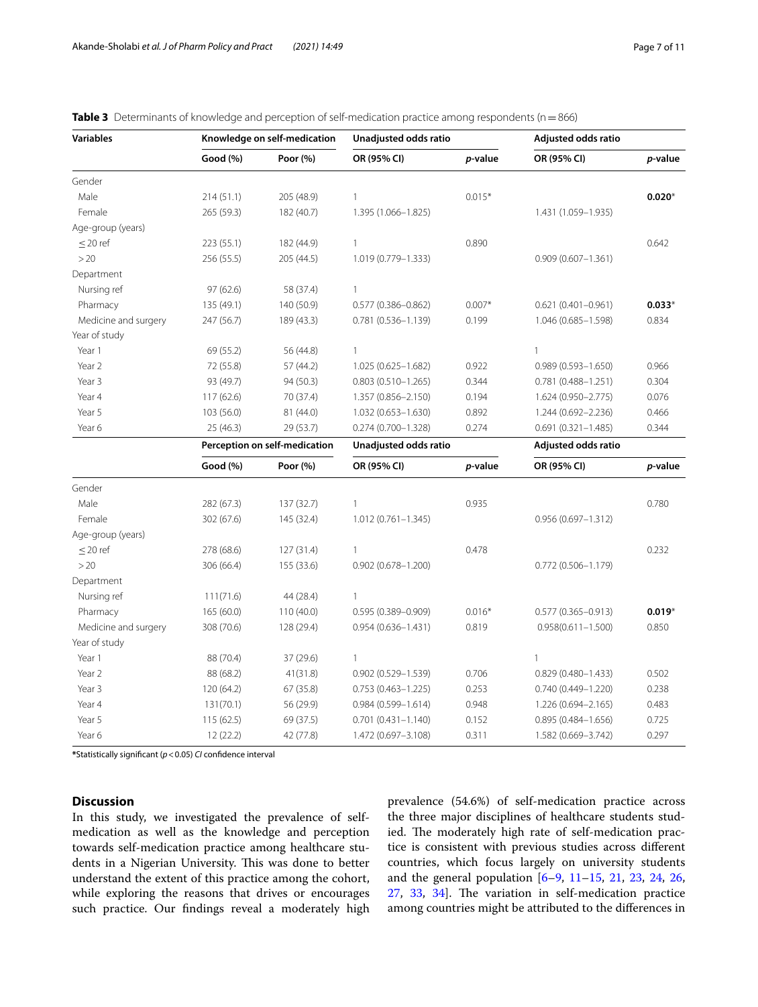| <b>Variables</b>     |            | Knowledge on self-medication<br>Unadjusted odds ratio |                        | Adjusted odds ratio |                        |                 |
|----------------------|------------|-------------------------------------------------------|------------------------|---------------------|------------------------|-----------------|
|                      | Good (%)   | Poor (%)                                              | OR (95% CI)            | p-value             | OR (95% CI)            | p-value         |
| Gender               |            |                                                       |                        |                     |                        |                 |
| Male                 | 214(51.1)  | 205 (48.9)                                            | $\mathbf{1}$           | $0.015*$            |                        | $0.020*$        |
| Female               | 265 (59.3) | 182 (40.7)                                            | 1.395 (1.066-1.825)    |                     | 1.431 (1.059-1.935)    |                 |
| Age-group (years)    |            |                                                       |                        |                     |                        |                 |
| $\leq$ 20 ref        | 223 (55.1) | 182 (44.9)                                            | $\mathbf{1}$           | 0.890               |                        | 0.642           |
| >20                  | 256 (55.5) | 205 (44.5)                                            | 1.019 (0.779-1.333)    |                     | $0.909(0.607 - 1.361)$ |                 |
| Department           |            |                                                       |                        |                     |                        |                 |
| Nursing ref          | 97(62.6)   | 58 (37.4)                                             | $\mathbf{1}$           |                     |                        |                 |
| Pharmacy             | 135 (49.1) | 140 (50.9)                                            | $0.577(0.386 - 0.862)$ | $0.007*$            | $0.621(0.401 - 0.961)$ | $0.033*$        |
| Medicine and surgery | 247 (56.7) | 189 (43.3)                                            | 0.781 (0.536-1.139)    | 0.199               | 1.046 (0.685-1.598)    | 0.834           |
| Year of study        |            |                                                       |                        |                     |                        |                 |
| Year 1               | 69 (55.2)  | 56 (44.8)                                             | $\mathbf{1}$           |                     | $\mathbf{1}$           |                 |
| Year 2               | 72 (55.8)  | 57 (44.2)                                             | 1.025 (0.625-1.682)    | 0.922               | $0.989(0.593 - 1.650)$ | 0.966           |
| Year 3               | 93 (49.7)  | 94 (50.3)                                             | $0.803(0.510 - 1.265)$ | 0.344               | $0.781(0.488 - 1.251)$ | 0.304           |
| Year 4               | 117 (62.6) | 70 (37.4)                                             | 1.357 (0.856-2.150)    | 0.194               | 1.624 (0.950-2.775)    | 0.076           |
| Year 5               | 103 (56.0) | 81 (44.0)                                             | 1.032 (0.653-1.630)    | 0.892               | 1.244 (0.692-2.236)    | 0.466           |
| Year 6               | 25 (46.3)  | 29 (53.7)                                             | 0.274 (0.700-1.328)    | 0.274               | $0.691(0.321 - 1.485)$ | 0.344           |
|                      |            | Perception on self-medication                         | Unadjusted odds ratio  |                     | Adjusted odds ratio    |                 |
|                      | Good (%)   | Poor (%)                                              | OR (95% CI)            | p-value             | OR (95% CI)            | <i>p</i> -value |
| Gender               |            |                                                       |                        |                     |                        |                 |
| Male                 | 282 (67.3) | 137 (32.7)                                            | $\mathbf{1}$           | 0.935               |                        | 0.780           |
| Female               | 302 (67.6) | 145 (32.4)                                            | $1.012(0.761 - 1.345)$ |                     | $0.956(0.697 - 1.312)$ |                 |
| Age-group (years)    |            |                                                       |                        |                     |                        |                 |
| $\leq$ 20 ref        | 278 (68.6) | 127(31.4)                                             | $\mathbf{1}$           | 0.478               |                        | 0.232           |
| >20                  | 306 (66.4) | 155 (33.6)                                            | $0.902(0.678 - 1.200)$ |                     | $0.772(0.506 - 1.179)$ |                 |
| Department           |            |                                                       |                        |                     |                        |                 |
| Nursing ref          | 111(71.6)  | 44 (28.4)                                             | $\mathbf{1}$           |                     |                        |                 |
| Pharmacy             | 165 (60.0) | 110 (40.0)                                            | $0.595(0.389 - 0.909)$ | $0.016*$            | $0.577(0.365 - 0.913)$ | $0.019*$        |
| Medicine and surgery | 308 (70.6) | 128 (29.4)                                            | $0.954(0.636 - 1.431)$ | 0.819               | $0.958(0.611 - 1.500)$ | 0.850           |
| Year of study        |            |                                                       |                        |                     |                        |                 |
| Year 1               | 88 (70.4)  | 37 (29.6)                                             | $\mathbf{1}$           |                     | $\mathbf{1}$           |                 |
| Year 2               | 88 (68.2)  | 41(31.8)                                              | $0.902(0.529 - 1.539)$ | 0.706               | $0.829(0.480 - 1.433)$ | 0.502           |
| Year 3               | 120 (64.2) | 67 (35.8)                                             | $0.753(0.463 - 1.225)$ | 0.253               | $0.740(0.449 - 1.220)$ | 0.238           |
| Year 4               | 131(70.1)  | 56 (29.9)                                             | $0.984(0.599 - 1.614)$ | 0.948               | 1.226 (0.694-2.165)    | 0.483           |
| Year 5               | 115(62.5)  | 69 (37.5)                                             | $0.701(0.431 - 1.140)$ | 0.152               | $0.895(0.484 - 1.656)$ | 0.725           |
| Year 6               | 12(22.2)   | 42 (77.8)                                             | 1.472 (0.697-3.108)    | 0.311               | 1.582 (0.669-3.742)    | 0.297           |

<span id="page-6-0"></span>**Table 3** Determinants of knowledge and perception of self-medication practice among respondents (n=866)

**\***Statistically signifcant (*p*<0.05) *CI* confdence interval

## **Discussion**

In this study, we investigated the prevalence of selfmedication as well as the knowledge and perception towards self-medication practice among healthcare students in a Nigerian University. This was done to better understand the extent of this practice among the cohort, while exploring the reasons that drives or encourages such practice. Our fndings reveal a moderately high prevalence (54.6%) of self-medication practice across the three major disciplines of healthcare students studied. The moderately high rate of self-medication practice is consistent with previous studies across diferent countries, which focus largely on university students and the general population [[6](#page-10-5)[–9](#page-10-6), [11](#page-10-27)[–15](#page-10-8), [21,](#page-10-14) [23,](#page-10-20) [24,](#page-10-28) [26](#page-10-22), [27,](#page-10-29) [33](#page-10-30), [34\]](#page-10-31). The variation in self-medication practice among countries might be attributed to the diferences in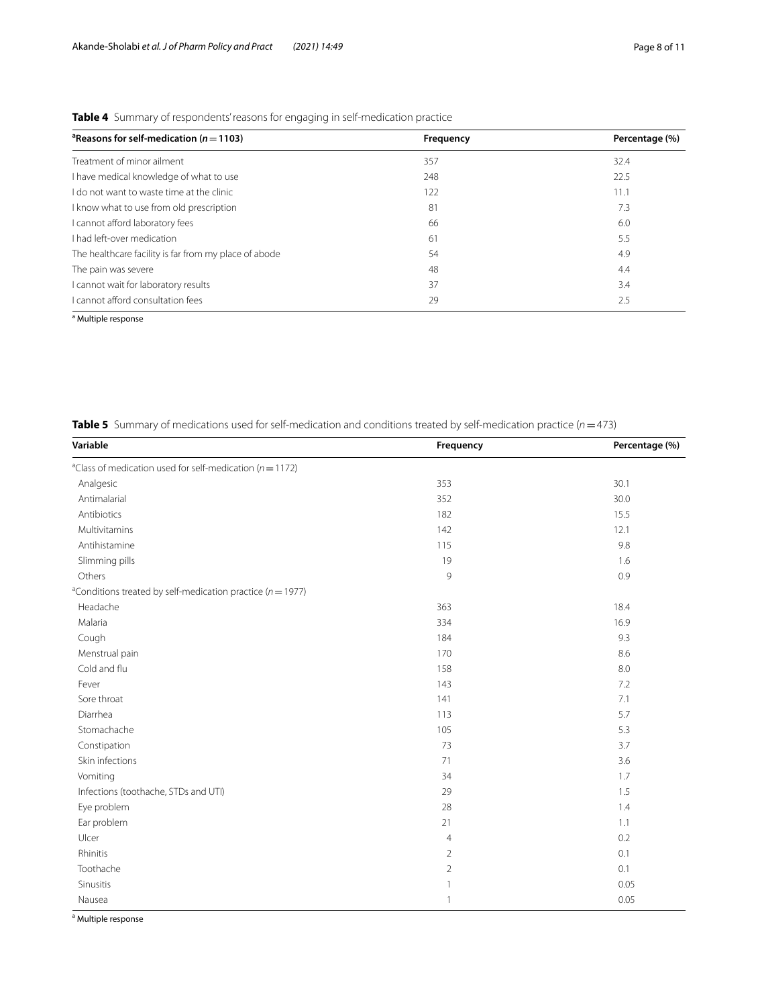| <sup>a</sup> Reasons for self-medication ( $n = 1103$ ) | Frequency | Percentage (%) |
|---------------------------------------------------------|-----------|----------------|
| Treatment of minor ailment                              | 357       | 32.4           |
| I have medical knowledge of what to use                 | 248       | 22.5           |
| I do not want to waste time at the clinic               | 122       | 11.1           |
| I know what to use from old prescription                | 81        | 7.3            |
| I cannot afford laboratory fees                         | 66        | 6.0            |
| I had left-over medication                              | 61        | 5.5            |
| The healthcare facility is far from my place of abode   | 54        | 4.9            |
| The pain was severe                                     | 48        | 4.4            |
| cannot wait for laboratory results                      | 37        | 3.4            |
| I cannot afford consultation fees                       | 29        | 2.5            |

<span id="page-7-0"></span>**Table 4** Summary of respondents' reasons for engaging in self-medication practice

<sup>a</sup> Multiple response

<span id="page-7-1"></span>

| <b>Table 5</b> Summary of medications used for self-medication and conditions treated by self-medication practice ( $n = 473$ ) |  |  |  |  |  |
|---------------------------------------------------------------------------------------------------------------------------------|--|--|--|--|--|
|---------------------------------------------------------------------------------------------------------------------------------|--|--|--|--|--|

| Variable                                                                   | Frequency      | Percentage (%) |
|----------------------------------------------------------------------------|----------------|----------------|
| <sup>a</sup> Class of medication used for self-medication ( $n = 1172$ )   |                |                |
| Analgesic                                                                  | 353            | 30.1           |
| Antimalarial                                                               | 352            | 30.0           |
| Antibiotics                                                                | 182            | 15.5           |
| Multivitamins                                                              | 142            | 12.1           |
| Antihistamine                                                              | 115            | 9.8            |
| Slimming pills                                                             | 19             | 1.6            |
| Others                                                                     | 9              | 0.9            |
| <sup>a</sup> Conditions treated by self-medication practice ( $n = 1977$ ) |                |                |
| Headache                                                                   | 363            | 18.4           |
| Malaria                                                                    | 334            | 16.9           |
| Cough                                                                      | 184            | 9.3            |
| Menstrual pain                                                             | 170            | 8.6            |
| Cold and flu                                                               | 158            | 8.0            |
| Fever                                                                      | 143            | 7.2            |
| Sore throat                                                                | 141            | 7.1            |
| Diarrhea                                                                   | 113            | 5.7            |
| Stomachache                                                                | 105            | 5.3            |
| Constipation                                                               | 73             | 3.7            |
| Skin infections                                                            | 71             | 3.6            |
| Vomiting                                                                   | 34             | 1.7            |
| Infections (toothache, STDs and UTI)                                       | 29             | 1.5            |
| Eye problem                                                                | 28             | 1.4            |
| Ear problem                                                                | 21             | 1.1            |
| Ulcer                                                                      | $\overline{4}$ | 0.2            |
| Rhinitis                                                                   | $\overline{2}$ | 0.1            |
| Toothache                                                                  | $\overline{2}$ | 0.1            |
| Sinusitis                                                                  | 1              | 0.05           |
| Nausea                                                                     | 1              | 0.05           |

<sup>a</sup> Multiple response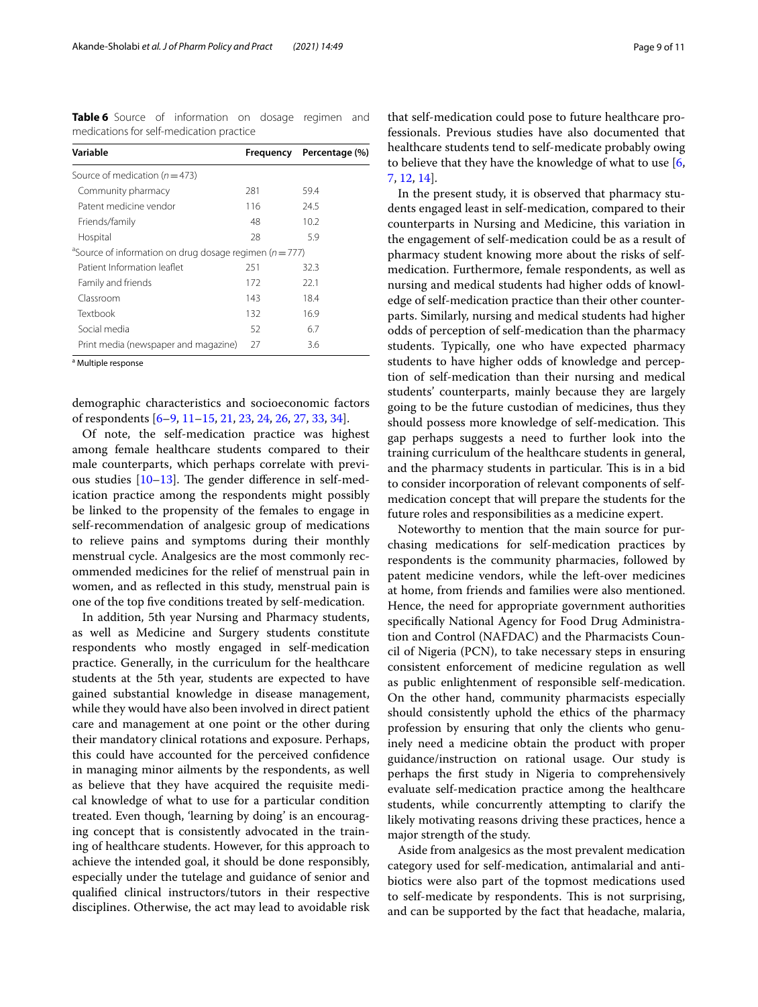<span id="page-8-0"></span>**Table 6** Source of information on dosage regimen and medications for self-medication practice

| Variable                                                                | Frequency | Percentage (%) |
|-------------------------------------------------------------------------|-----------|----------------|
| Source of medication ( $n = 473$ )                                      |           |                |
| Community pharmacy                                                      | 281       | 59.4           |
| Patent medicine vendor                                                  | 116       | 24.5           |
| Friends/family                                                          | 48        | 10.2           |
| Hospital                                                                | 28        | 5.9            |
| <sup>a</sup> Source of information on drug dosage regimen ( $n = 777$ ) |           |                |
| Patient Information leaflet                                             | 251       | 32.3           |
| Family and friends                                                      | 172       | 22.1           |
| Classroom                                                               | 143       | 18.4           |
| Textbook                                                                | 132       | 16.9           |
| Social media                                                            | 52        | 6.7            |
| Print media (newspaper and magazine)                                    | 27        | 3.6            |
|                                                                         |           |                |

<sup>a</sup> Multiple response

demographic characteristics and socioeconomic factors of respondents [[6–](#page-10-5)[9,](#page-10-6) [11](#page-10-27)–[15,](#page-10-8) [21](#page-10-14), [23,](#page-10-20) [24,](#page-10-28) [26](#page-10-22), [27,](#page-10-29) [33](#page-10-30), [34](#page-10-31)].

Of note, the self-medication practice was highest among female healthcare students compared to their male counterparts, which perhaps correlate with previous studies  $[10-13]$  $[10-13]$ . The gender difference in self-medication practice among the respondents might possibly be linked to the propensity of the females to engage in self-recommendation of analgesic group of medications to relieve pains and symptoms during their monthly menstrual cycle. Analgesics are the most commonly recommended medicines for the relief of menstrual pain in women, and as refected in this study, menstrual pain is one of the top fve conditions treated by self-medication.

In addition, 5th year Nursing and Pharmacy students, as well as Medicine and Surgery students constitute respondents who mostly engaged in self-medication practice. Generally, in the curriculum for the healthcare students at the 5th year, students are expected to have gained substantial knowledge in disease management, while they would have also been involved in direct patient care and management at one point or the other during their mandatory clinical rotations and exposure. Perhaps, this could have accounted for the perceived confdence in managing minor ailments by the respondents, as well as believe that they have acquired the requisite medical knowledge of what to use for a particular condition treated. Even though, 'learning by doing' is an encouraging concept that is consistently advocated in the training of healthcare students. However, for this approach to achieve the intended goal, it should be done responsibly, especially under the tutelage and guidance of senior and qualifed clinical instructors/tutors in their respective disciplines. Otherwise, the act may lead to avoidable risk

that self-medication could pose to future healthcare professionals. Previous studies have also documented that healthcare students tend to self-medicate probably owing to believe that they have the knowledge of what to use [\[6](#page-10-5), [7,](#page-10-16) [12](#page-10-32), [14](#page-10-18)].

In the present study, it is observed that pharmacy students engaged least in self-medication, compared to their counterparts in Nursing and Medicine, this variation in the engagement of self-medication could be as a result of pharmacy student knowing more about the risks of selfmedication. Furthermore, female respondents, as well as nursing and medical students had higher odds of knowledge of self-medication practice than their other counterparts. Similarly, nursing and medical students had higher odds of perception of self-medication than the pharmacy students. Typically, one who have expected pharmacy students to have higher odds of knowledge and perception of self-medication than their nursing and medical students' counterparts, mainly because they are largely going to be the future custodian of medicines, thus they should possess more knowledge of self-medication. This gap perhaps suggests a need to further look into the training curriculum of the healthcare students in general, and the pharmacy students in particular. This is in a bid to consider incorporation of relevant components of selfmedication concept that will prepare the students for the future roles and responsibilities as a medicine expert.

Noteworthy to mention that the main source for purchasing medications for self-medication practices by respondents is the community pharmacies, followed by patent medicine vendors, while the left-over medicines at home, from friends and families were also mentioned. Hence, the need for appropriate government authorities specifcally National Agency for Food Drug Administration and Control (NAFDAC) and the Pharmacists Council of Nigeria (PCN), to take necessary steps in ensuring consistent enforcement of medicine regulation as well as public enlightenment of responsible self-medication. On the other hand, community pharmacists especially should consistently uphold the ethics of the pharmacy profession by ensuring that only the clients who genuinely need a medicine obtain the product with proper guidance/instruction on rational usage. Our study is perhaps the frst study in Nigeria to comprehensively evaluate self-medication practice among the healthcare students, while concurrently attempting to clarify the likely motivating reasons driving these practices, hence a major strength of the study.

Aside from analgesics as the most prevalent medication category used for self-medication, antimalarial and antibiotics were also part of the topmost medications used to self-medicate by respondents. This is not surprising, and can be supported by the fact that headache, malaria,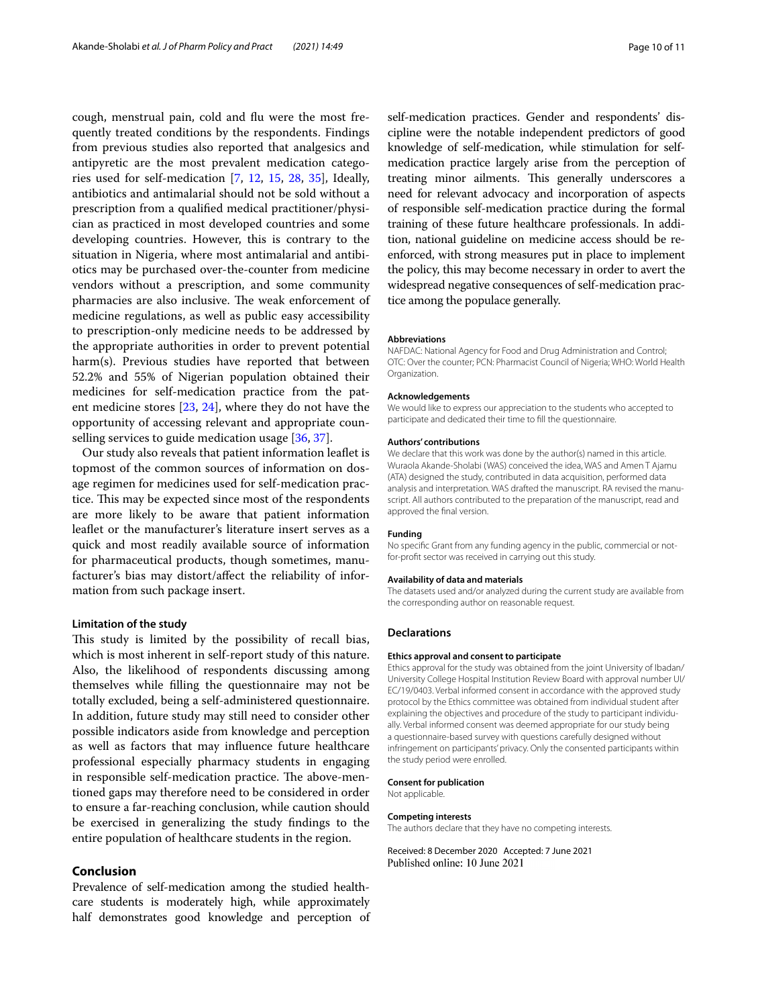cough, menstrual pain, cold and fu were the most frequently treated conditions by the respondents. Findings from previous studies also reported that analgesics and antipyretic are the most prevalent medication categories used for self-medication [\[7](#page-10-16), [12,](#page-10-32) [15,](#page-10-8) [28,](#page-10-23) [35](#page-10-33)], Ideally, antibiotics and antimalarial should not be sold without a prescription from a qualifed medical practitioner/physician as practiced in most developed countries and some developing countries. However, this is contrary to the situation in Nigeria, where most antimalarial and antibiotics may be purchased over-the-counter from medicine vendors without a prescription, and some community pharmacies are also inclusive. The weak enforcement of medicine regulations, as well as public easy accessibility to prescription-only medicine needs to be addressed by the appropriate authorities in order to prevent potential harm(s). Previous studies have reported that between 52.2% and 55% of Nigerian population obtained their medicines for self-medication practice from the patent medicine stores [[23,](#page-10-20) [24\]](#page-10-28), where they do not have the opportunity of accessing relevant and appropriate counselling services to guide medication usage [[36,](#page-10-34) [37](#page-10-35)].

Our study also reveals that patient information leafet is topmost of the common sources of information on dosage regimen for medicines used for self-medication practice. This may be expected since most of the respondents are more likely to be aware that patient information leafet or the manufacturer's literature insert serves as a quick and most readily available source of information for pharmaceutical products, though sometimes, manufacturer's bias may distort/afect the reliability of information from such package insert.

## **Limitation of the study**

This study is limited by the possibility of recall bias, which is most inherent in self-report study of this nature. Also, the likelihood of respondents discussing among themselves while flling the questionnaire may not be totally excluded, being a self-administered questionnaire. In addition, future study may still need to consider other possible indicators aside from knowledge and perception as well as factors that may infuence future healthcare professional especially pharmacy students in engaging in responsible self-medication practice. The above-mentioned gaps may therefore need to be considered in order to ensure a far-reaching conclusion, while caution should be exercised in generalizing the study fndings to the entire population of healthcare students in the region.

## **Conclusion**

Prevalence of self-medication among the studied healthcare students is moderately high, while approximately half demonstrates good knowledge and perception of self-medication practices. Gender and respondents' discipline were the notable independent predictors of good knowledge of self-medication, while stimulation for selfmedication practice largely arise from the perception of treating minor ailments. This generally underscores a need for relevant advocacy and incorporation of aspects of responsible self-medication practice during the formal training of these future healthcare professionals. In addition, national guideline on medicine access should be reenforced, with strong measures put in place to implement the policy, this may become necessary in order to avert the widespread negative consequences of self-medication practice among the populace generally.

## **Abbreviations**

NAFDAC: National Agency for Food and Drug Administration and Control; OTC: Over the counter; PCN: Pharmacist Council of Nigeria; WHO: World Health Organization.

#### **Acknowledgements**

We would like to express our appreciation to the students who accepted to participate and dedicated their time to fll the questionnaire.

#### **Authors' contributions**

We declare that this work was done by the author(s) named in this article. Wuraola Akande-Sholabi (WAS) conceived the idea, WAS and Amen T Ajamu (ATA) designed the study, contributed in data acquisition, performed data analysis and interpretation. WAS drafted the manuscript. RA revised the manuscript. All authors contributed to the preparation of the manuscript, read and approved the fnal version.

#### **Funding**

No specifc Grant from any funding agency in the public, commercial or notfor-proft sector was received in carrying out this study.

#### **Availability of data and materials**

The datasets used and/or analyzed during the current study are available from the corresponding author on reasonable request.

#### **Declarations**

#### **Ethics approval and consent to participate**

Ethics approval for the study was obtained from the joint University of Ibadan/ University College Hospital Institution Review Board with approval number UI/ EC/19/0403. Verbal informed consent in accordance with the approved study protocol by the Ethics committee was obtained from individual student after explaining the objectives and procedure of the study to participant individually. Verbal informed consent was deemed appropriate for our study being a questionnaire-based survey with questions carefully designed without infringement on participants' privacy. Only the consented participants within the study period were enrolled.

## **Consent for publication**

Not applicable.

#### **Competing interests**

The authors declare that they have no competing interests.

Received: 8 December 2020 Accepted: 7 June 2021Published online: 10 June 2021